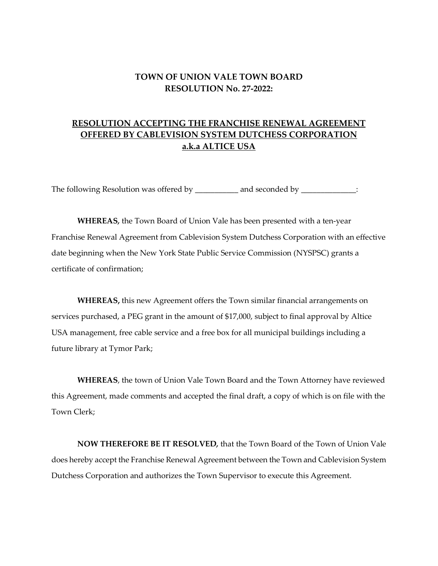## **TOWN OF UNION VALE TOWN BOARD RESOLUTION No. 27-2022:**

## **RESOLUTION ACCEPTING THE FRANCHISE RENEWAL AGREEMENT OFFERED BY CABLEVISION SYSTEM DUTCHESS CORPORATION a.k.a ALTICE USA**

The following Resolution was offered by \_\_\_\_\_\_\_\_\_\_ and seconded by \_\_\_\_\_\_\_\_\_\_\_\_\_:

**WHEREAS***,* the Town Board of Union Vale has been presented with a ten-year Franchise Renewal Agreement from Cablevision System Dutchess Corporation with an effective date beginning when the New York State Public Service Commission (NYSPSC) grants a certificate of confirmation;

**WHEREAS,** this new Agreement offers the Town similar financial arrangements on services purchased, a PEG grant in the amount of \$17,000, subject to final approval by Altice USA management, free cable service and a free box for all municipal buildings including a future library at Tymor Park;

**WHEREAS**, the town of Union Vale Town Board and the Town Attorney have reviewed this Agreement, made comments and accepted the final draft, a copy of which is on file with the Town Clerk;

**NOW THEREFORE BE IT RESOLVED***,* that the Town Board of the Town of Union Vale does hereby accept the Franchise Renewal Agreement between the Town and Cablevision System Dutchess Corporation and authorizes the Town Supervisor to execute this Agreement.